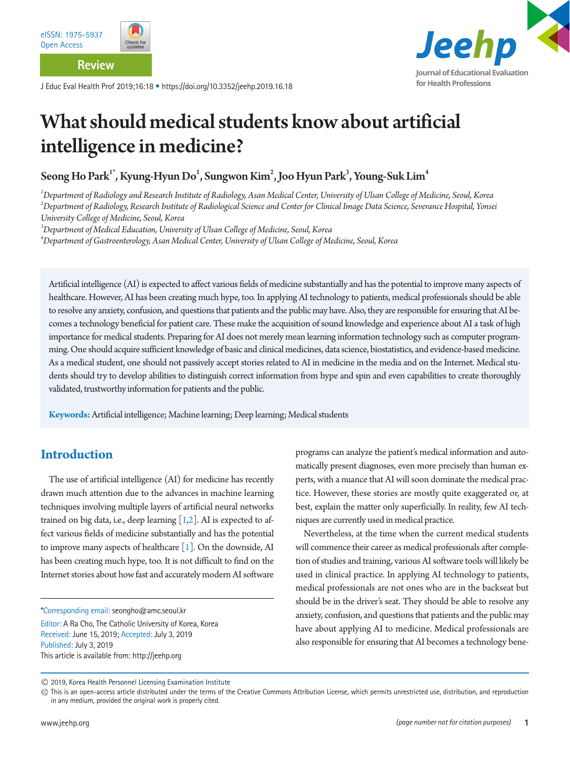

**Review**

J Educ Eval Health Prof 2019;16:18 • https://doi.org/10.3352/jeehp.2019.16.18



# What should medical students know about artificial intelligence in medicine?

Seong Ho Park $^{\text{I}^*}$ , Kyung-Hyun Do $^{\text{l}}$ , Sungwon Kim $^{\text{2}}$ , Joo Hyun Park $^{\text{3}}$ , Young-Suk Lim $^{\text{4}}$ 

*1 Department of Radiology and Research Institute of Radiology, Asan Medical Center, University of Ulsan College of Medicine, Seoul, Korea 2 Department of Radiology, Research Institute of Radiological Science and Center for Clinical Image Data Science, Severance Hospital, Yonsei University College of Medicine, Seoul, Korea* 

*3 Department of Medical Education, University of Ulsan College of Medicine, Seoul, Korea* 

*4 Department of Gastroenterology, Asan Medical Center, University of Ulsan College of Medicine, Seoul, Korea* 

Artificial intelligence (AI) is expected to affect various fields of medicine substantially and has the potential to improve many aspects of healthcare. However, AI has been creating much hype, too. In applying AI technology to patients, medical professionals should be able to resolve any anxiety, confusion, and questions that patients and the public may have. Also, they are responsible for ensuring that AI becomes a technology beneficial for patient care. These make the acquisition of sound knowledge and experience about AI a task of high importance for medical students. Preparing for AI does not merely mean learning information technology such as computer programming. One should acquire sufficient knowledge of basic and clinical medicines, data science, biostatistics, and evidence-based medicine. As a medical student, one should not passively accept stories related to AI in medicine in the media and on the Internet. Medical students should try to develop abilities to distinguish correct information from hype and spin and even capabilities to create thoroughly validated, trustworthy information for patients and the public.

**Keywords:** Artificial intelligence; Machine learning; Deep learning; Medical students

# **Introduction**

The use of artificial intelligence (AI) for medicine has recently drawn much attention due to the advances in machine learning techniques involving multiple layers of artificial neural networks trained on big data, i.e., deep learning  $[1,2]$  $[1,2]$ . AI is expected to affect various fields of medicine substantially and has the potential to improve many aspects of healthcare  $[1]$  $[1]$ . On the downside, AI has been creating much hype, too. It is not difficult to find on the Internet stories about how fast and accurately modern AI software

\*Corresponding email: seongho@amc.seoul.kr

Editor: A Ra Cho, The Catholic University of Korea, Korea Received: June 15, 2019; Accepted: July 3, 2019 Published: July 3, 2019 This article is available from: http://jeehp.org

programs can analyze the patient's medical information and automatically present diagnoses, even more precisely than human experts, with a nuance that AI will soon dominate the medical practice. However, these stories are mostly quite exaggerated or, at best, explain the matter only superficially. In reality, few AI techniques are currently used in medical practice.

Nevertheless, at the time when the current medical students will commence their career as medical professionals after completion of studies and training, various AI software tools will likely be used in clinical practice. In applying AI technology to patients, medical professionals are not ones who are in the backseat but should be in the driver's seat. They should be able to resolve any anxiety, confusion, and questions that patients and the public may have about applying AI to medicine. Medical professionals are also responsible for ensuring that AI becomes a technology bene-

2019, Korea Health Personnel Licensing Examination Institute

This is an open-access article distributed under the terms of the Creative Commons Attribution License, which permits unrestricted use, distribution, and reproduction in any medium, provided the original work is properly cited.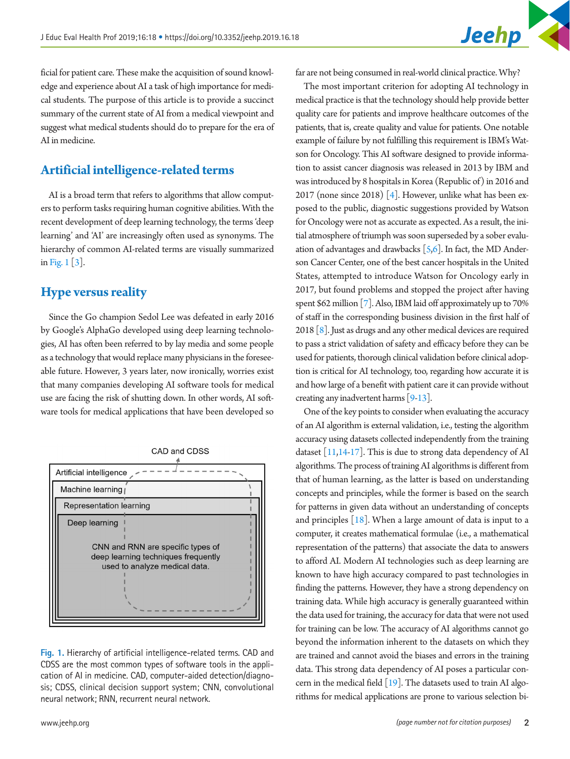ficial for patient care. These make the acquisition of sound knowledge and experience about AI a task of high importance for medical students. The purpose of this article is to provide a succinct summary of the current state of AI from a medical viewpoint and suggest what medical students should do to prepare for the era of AI in medicine.

# **Artificial intelligence-related terms**

AI is a broad term that refers to algorithms that allow computers to perform tasks requiring human cognitive abilities. With the recent development of deep learning technology, the terms 'deep learning' and 'AI' are increasingly often used as synonyms. The hierarchy of common AI-related terms are visually summarized in [Fig. 1](#page-1-0) [\[3\]](#page-3-2).

#### **Hype versus reality**

Since the Go champion Sedol Lee was defeated in early 2016 by Google's AlphaGo developed using deep learning technologies, AI has often been referred to by lay media and some people as a technology that would replace many physicians in the foreseeable future. However, 3 years later, now ironically, worries exist that many companies developing AI software tools for medical use are facing the risk of shutting down. In other words, AI software tools for medical applications that have been developed so

<span id="page-1-0"></span>

**Fig. 1.** Hierarchy of artificial intelligence-related terms. CAD and CDSS are the most common types of software tools in the application of AI in medicine. CAD, computer-aided detection/diagnosis; CDSS, clinical decision support system; CNN, convolutional neural network; RNN, recurrent neural network.

far are not being consumed in real-world clinical practice. Why?

The most important criterion for adopting AI technology in medical practice is that the technology should help provide better quality care for patients and improve healthcare outcomes of the patients, that is, create quality and value for patients. One notable example of failure by not fulfilling this requirement is IBM's Watson for Oncology. This AI software designed to provide information to assist cancer diagnosis was released in 2013 by IBM and was introduced by 8 hospitals in Korea (Republic of) in 2016 and 2017 (none since 2018) [\[4](#page-3-3)]. However, unlike what has been exposed to the public, diagnostic suggestions provided by Watson for Oncology were not as accurate as expected. As a result, the initial atmosphere of triumph was soon superseded by a sober evaluation of advantages and drawbacks [[5](#page-4-0)[,6](#page-4-1)]. In fact, the MD Anderson Cancer Center, one of the best cancer hospitals in the United States, attempted to introduce Watson for Oncology early in 2017, but found problems and stopped the project after having spent \$62 million [\[7\]](#page-4-2). Also, IBM laid off approximately up to 70% of staff in the corresponding business division in the first half of 2018  $[8]$ . Just as drugs and any other medical devices are required to pass a strict validation of safety and efficacy before they can be used for patients, thorough clinical validation before clinical adoption is critical for AI technology, too, regarding how accurate it is and how large of a benefit with patient care it can provide without creating any inadvertent harms [\[9](#page-4-4)[-13\]](#page-4-5).

One of the key points to consider when evaluating the accuracy of an AI algorithm is external validation, i.e., testing the algorithm accuracy using datasets collected independently from the training dataset [\[11](#page-4-6)[,14](#page-4-7)[-17\]](#page-4-8). This is due to strong data dependency of AI algorithms. The process of training AI algorithms is different from that of human learning, as the latter is based on understanding concepts and principles, while the former is based on the search for patterns in given data without an understanding of concepts and principles  $[18]$  $[18]$  $[18]$ . When a large amount of data is input to a computer, it creates mathematical formulae (i.e., a mathematical representation of the patterns) that associate the data to answers to afford AI. Modern AI technologies such as deep learning are known to have high accuracy compared to past technologies in finding the patterns. However, they have a strong dependency on training data. While high accuracy is generally guaranteed within the data used for training, the accuracy for data that were not used for training can be low. The accuracy of AI algorithms cannot go beyond the information inherent to the datasets on which they are trained and cannot avoid the biases and errors in the training data. This strong data dependency of AI poses a particular concern in the medical field  $[19]$  $[19]$ . The datasets used to train AI algorithms for medical applications are prone to various selection bi-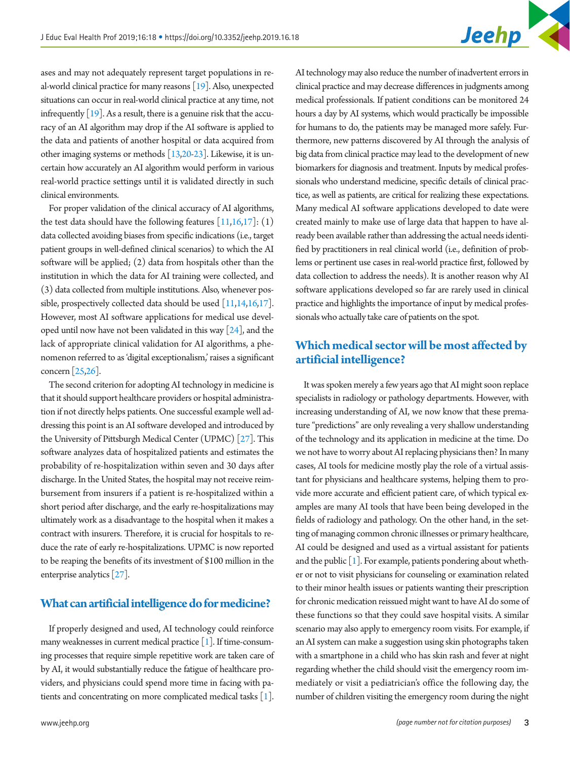

ases and may not adequately represent target populations in real-world clinical practice for many reasons [\[19](#page-4-10)]. Also, unexpected situations can occur in real-world clinical practice at any time, not infrequently  $\lceil 19 \rceil$ . As a result, there is a genuine risk that the accuracy of an AI algorithm may drop if the AI software is applied to the data and patients of another hospital or data acquired from other imaging systems or methods [[13](#page-4-5)[,20-](#page-4-11)[23](#page-4-12)]. Likewise, it is uncertain how accurately an AI algorithm would perform in various real-world practice settings until it is validated directly in such clinical environments.

For proper validation of the clinical accuracy of AI algorithms, the test data should have the following features  $[11,16,17]$  $[11,16,17]$  $[11,16,17]$ :  $(1)$ data collected avoiding biases from specific indications (i.e., target patient groups in well-defined clinical scenarios) to which the AI software will be applied; (2) data from hospitals other than the institution in which the data for AI training were collected, and (3) data collected from multiple institutions. Also, whenever possible, prospectively collected data should be used [[11](#page-4-6)[,14](#page-4-7)[,16,](#page-4-13)[17](#page-4-6)]. However, most AI software applications for medical use developed until now have not been validated in this way  $[24]$ , and the lack of appropriate clinical validation for AI algorithms, a phenomenon referred to as 'digital exceptionalism,' raises a significant concern [\[25](#page-4-15)[,26\]](#page-4-16).

The second criterion for adopting AI technology in medicine is that it should support healthcare providers or hospital administration if not directly helps patients. One successful example well addressing this point is an AI software developed and introduced by the University of Pittsburgh Medical Center (UPMC) [\[27\]](#page-5-0). This software analyzes data of hospitalized patients and estimates the probability of re-hospitalization within seven and 30 days after discharge. In the United States, the hospital may not receive reimbursement from insurers if a patient is re-hospitalized within a short period after discharge, and the early re-hospitalizations may ultimately work as a disadvantage to the hospital when it makes a contract with insurers. Therefore, it is crucial for hospitals to reduce the rate of early re-hospitalizations. UPMC is now reported to be reaping the benefits of its investment of \$100 million in the enterprise analytics [\[27\]](#page-5-0).

#### **What can artificial intelligence do for medicine?**

If properly designed and used, AI technology could reinforce many weaknesses in current medical practice [\[1\]](#page-3-0). If time-consuming processes that require simple repetitive work are taken care of by AI, it would substantially reduce the fatigue of healthcare providers, and physicians could spend more time in facing with patients and concentrating on more complicated medical tasks [\[1](#page-3-0)].

AI technology may also reduce the number of inadvertent errors in clinical practice and may decrease differences in judgments among medical professionals. If patient conditions can be monitored 24 hours a day by AI systems, which would practically be impossible for humans to do, the patients may be managed more safely. Furthermore, new patterns discovered by AI through the analysis of big data from clinical practice may lead to the development of new biomarkers for diagnosis and treatment. Inputs by medical professionals who understand medicine, specific details of clinical practice, as well as patients, are critical for realizing these expectations. Many medical AI software applications developed to date were created mainly to make use of large data that happen to have already been available rather than addressing the actual needs identified by practitioners in real clinical world (i.e., definition of problems or pertinent use cases in real-world practice first, followed by data collection to address the needs). It is another reason why AI software applications developed so far are rarely used in clinical practice and highlights the importance of input by medical professionals who actually take care of patients on the spot.

#### **Which medical sector will be most affected by artificial intelligence?**

It was spoken merely a few years ago that AI might soon replace specialists in radiology or pathology departments. However, with increasing understanding of AI, we now know that these premature "predictions" are only revealing a very shallow understanding of the technology and its application in medicine at the time. Do we not have to worry about AI replacing physicians then? In many cases, AI tools for medicine mostly play the role of a virtual assistant for physicians and healthcare systems, helping them to provide more accurate and efficient patient care, of which typical examples are many AI tools that have been being developed in the fields of radiology and pathology. On the other hand, in the setting of managing common chronic illnesses or primary healthcare, AI could be designed and used as a virtual assistant for patients and the public  $[1]$ . For example, patients pondering about whether or not to visit physicians for counseling or examination related to their minor health issues or patients wanting their prescription for chronic medication reissued might want to have AI do some of these functions so that they could save hospital visits. A similar scenario may also apply to emergency room visits. For example, if an AI system can make a suggestion using skin photographs taken with a smartphone in a child who has skin rash and fever at night regarding whether the child should visit the emergency room immediately or visit a pediatrician's office the following day, the number of children visiting the emergency room during the night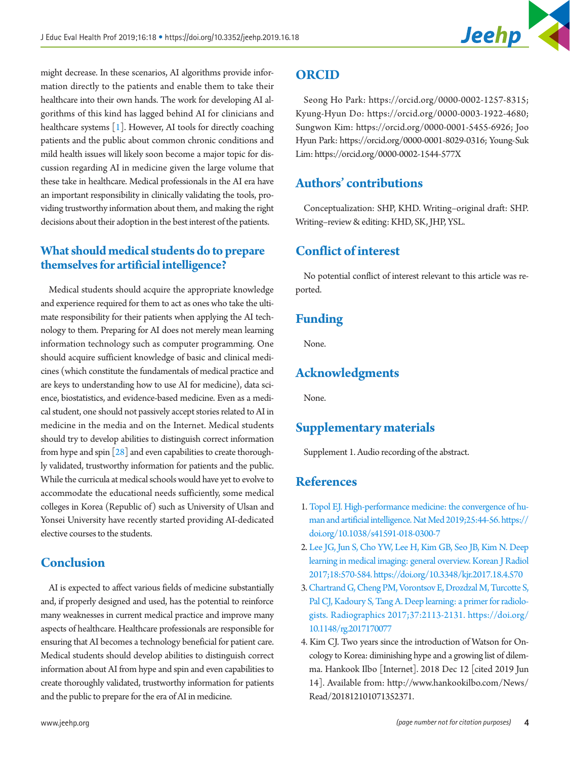

might decrease. In these scenarios, AI algorithms provide information directly to the patients and enable them to take their healthcare into their own hands. The work for developing AI algorithms of this kind has lagged behind AI for clinicians and healthcare systems [\[1\]](#page-3-0). However, AI tools for directly coaching patients and the public about common chronic conditions and mild health issues will likely soon become a major topic for discussion regarding AI in medicine given the large volume that these take in healthcare. Medical professionals in the AI era have an important responsibility in clinically validating the tools, providing trustworthy information about them, and making the right decisions about their adoption in the best interest of the patients.

#### **What should medical students do to prepare themselves for artificial intelligence?**

Medical students should acquire the appropriate knowledge and experience required for them to act as ones who take the ultimate responsibility for their patients when applying the AI technology to them. Preparing for AI does not merely mean learning information technology such as computer programming. One should acquire sufficient knowledge of basic and clinical medicines (which constitute the fundamentals of medical practice and are keys to understanding how to use AI for medicine), data science, biostatistics, and evidence-based medicine. Even as a medical student, one should not passively accept stories related to AI in medicine in the media and on the Internet. Medical students should try to develop abilities to distinguish correct information from hype and spin [\[28](#page-5-1)] and even capabilities to create thoroughly validated, trustworthy information for patients and the public. While the curricula at medical schools would have yet to evolve to accommodate the educational needs sufficiently, some medical colleges in Korea (Republic of) such as University of Ulsan and Yonsei University have recently started providing AI-dedicated elective courses to the students.

### **Conclusion**

AI is expected to affect various fields of medicine substantially and, if properly designed and used, has the potential to reinforce many weaknesses in current medical practice and improve many aspects of healthcare. Healthcare professionals are responsible for ensuring that AI becomes a technology beneficial for patient care. Medical students should develop abilities to distinguish correct information about AI from hype and spin and even capabilities to create thoroughly validated, trustworthy information for patients and the public to prepare for the era of AI in medicine.

Seong Ho Park: [https://orcid.org/0000-0002-1257-8315;](https://orcid.org/0000-0002-1257-8315) Kyung-Hyun Do: [https://orcid.org/0000-0003-1922-4680;](https://orcid.org/0000-0003-1922-4680) Sungwon Kim: [https://orcid.org/0000-0001-5455-6926;](https://orcid.org/0000-0001-5455-6926) Joo Hyun Park: [https://orcid.org/0000-0001-8029-0316;](https://orcid.org/0000-0001-8029-0316) Young-Suk Lim:<https://orcid.org/0000-0002-1544-577X>

## **Authors' contributions**

Conceptualization: SHP, KHD. Writing–original draft: SHP. Writing–review & editing: KHD, SK, JHP, YSL.

#### **Conflict of interest**

No potential conflict of interest relevant to this article was reported.

#### **Funding**

None.

## **Acknowledgments**

None.

#### **Supplementary materials**

Supplement 1. Audio recording of the abstract.

#### **References**

- <span id="page-3-0"></span>1. [Topol EJ. High-performance medicine: the convergence of hu](https://doi.org/10.1038/s41591-018-0300-7)[man and artificial intelligence. Nat Med 2019;25:44-56. https://](https://doi.org/10.1038/s41591-018-0300-7) [doi.org/10.1038/s41591-018-0300-7](https://doi.org/10.1038/s41591-018-0300-7)
- <span id="page-3-1"></span>2. [Lee JG, Jun S, Cho YW, Lee H, Kim GB, Seo JB, Kim N. Deep](https://doi.org/10.3348/kjr.2017.18.4.570)  [learning in medical imaging: general overview. Korean J Radiol](https://doi.org/10.3348/kjr.2017.18.4.570)  [2017;18:570-584. https://doi.org/10.3348/kjr.2017.18.4.570](https://doi.org/10.3348/kjr.2017.18.4.570)
- <span id="page-3-2"></span>3.[Chartrand G, Cheng PM, Vorontsov E, Drozdzal M, Turcotte S,](https://doi.org/10.1148/rg.2017170077)  [Pal CJ, Kadoury S, Tang A. Deep learning: a primer for radiolo](https://doi.org/10.1148/rg.2017170077)[gists. Radiographics 2017;37:2113-2131. https://doi.org/](https://doi.org/10.1148/rg.2017170077) [10.1148/rg.2017170077](https://doi.org/10.1148/rg.2017170077)
- <span id="page-3-3"></span>4. Kim CJ. Two years since the introduction of Watson for Oncology to Korea: diminishing hype and a growing list of dilemma. Hankook Ilbo [Internet]. 2018 Dec 12 [cited 2019 Jun 14]. Available from: [http://www.hankookilbo.com/News/](http://www.hankookilbo.com/News/Read/201812101071352371) [Read/201812101071352371.](http://www.hankookilbo.com/News/Read/201812101071352371)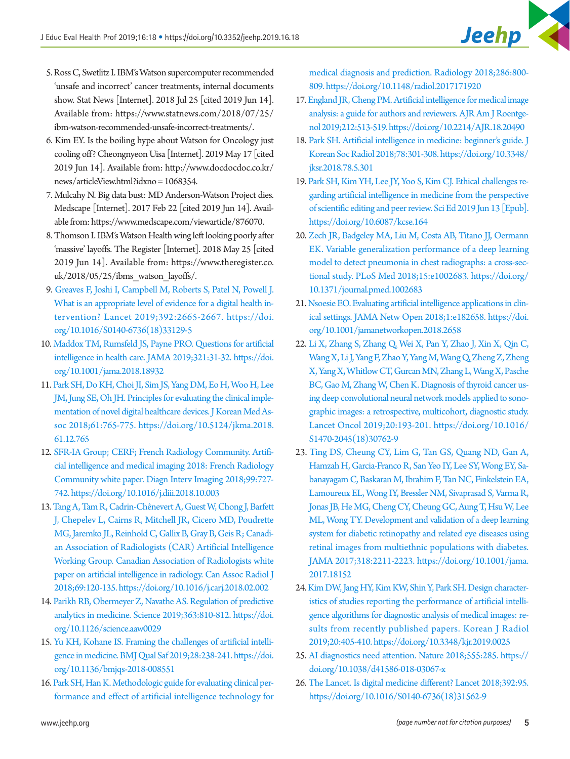- <span id="page-4-0"></span>5. Ross C, Swetlitz I. IBM's Watson supercomputer recommended 'unsafe and incorrect' cancer treatments, internal documents show. Stat News [Internet]. 2018 Jul 25 [cited 2019 Jun 14]. Available from: [https://www.statnews.com/2018/07/25/](https://www.statnews.com/2018/07/25/ibm-watson-recommended-unsafe-incorrect-treatments/) [ibm-watson-recommended-unsafe-incorrect-treatments/.](https://www.statnews.com/2018/07/25/ibm-watson-recommended-unsafe-incorrect-treatments/)
- <span id="page-4-1"></span>6. Kim EY. Is the boiling hype about Watson for Oncology just cooling off? Cheongnyeon Uisa [Internet]. 2019 May 17 [cited 2019 Jun 14]. Available from: [http://www.docdocdoc.co.kr/](http://www.docdocdoc.co.kr/news/articleView.html?idxno=1068354) [news/articleView.html?idxno= 1068354.](http://www.docdocdoc.co.kr/news/articleView.html?idxno=1068354)
- <span id="page-4-2"></span>7. Mulcahy N. Big data bust: MD Anderson-Watson Project dies. Medscape [Internet]. 2017 Feb 22 [cited 2019 Jun 14]. Available from:<https://www.medscape.com/viewarticle/876070>.
- <span id="page-4-3"></span>8. Thomson I. IBM's Watson Health wing left looking poorly after 'massive' layoffs. The Register [Internet]. 2018 May 25 [cited 2019 Jun 14]. Available from: [https://www.theregister.co.](https://www.theregister.co.uk/2018/05/25/ibms_watson_layoffs/) [uk/2018/05/25/ibms\\_watson\\_layoffs/.](https://www.theregister.co.uk/2018/05/25/ibms_watson_layoffs/)
- <span id="page-4-4"></span>9. [Greaves F, Joshi I, Campbell M, Roberts S, Patel N, Powell J.](https://doi.org/10.1016/S0140-6736(18)33129-5) [What is an appropriate level of evidence for a digital health in](https://doi.org/10.1016/S0140-6736(18)33129-5)[tervention? Lancet 2019;392:2665-2667. https://doi.](https://doi.org/10.1016/S0140-6736(18)33129-5) [org/10.1016/S0140-6736\(18\)33129-5](https://doi.org/10.1016/S0140-6736(18)33129-5)
- 10. [Maddox TM, Rumsfeld JS, Payne PRO. Questions for artificial](https://doi.org/10.1001/jama.2018.18932) [intelligence in health care. JAMA 2019;321:31-32. https://doi.](https://doi.org/10.1001/jama.2018.18932) [org/10.1001/jama.2018.18932](https://doi.org/10.1001/jama.2018.18932)
- <span id="page-4-6"></span>11. [Park SH, Do KH, Choi JI, Sim JS, Yang DM, Eo H, Woo H, Lee](https://doi.org/10.5124/jkma.2018.61.12.765)  [JM, Jung SE, Oh JH. Principles for evaluating the clinical imple](https://doi.org/10.5124/jkma.2018.61.12.765)[mentation of novel digital healthcare devices. J Korean Med As](https://doi.org/10.5124/jkma.2018.61.12.765)[soc 2018;61:765-775. https://doi.org/10.5124/jkma.2018.](https://doi.org/10.5124/jkma.2018.61.12.765) [61.12.765](https://doi.org/10.5124/jkma.2018.61.12.765)
- 12. [SFR-IA Group; CERF; French Radiology Community. Artifi](https://doi.org/10.1016/j.diii.2018.10.003)[cial intelligence and medical imaging 2018: French Radiology](https://doi.org/10.1016/j.diii.2018.10.003)  [Community white paper. Diagn Interv Imaging 2018;99:727-](https://doi.org/10.1016/j.diii.2018.10.003) [742. https://doi.org/10.1016/j.diii.2018.10.003](https://doi.org/10.1016/j.diii.2018.10.003)
- <span id="page-4-5"></span>13.[Tang A, Tam R, Cadrin-Chênevert A, Guest W, Chong J, Barfett](https://doi.org/10.1016/j.carj.2018.02.002) [J, Chepelev L, Cairns R, Mitchell JR, Cicero MD, Poudrette](https://doi.org/10.1016/j.carj.2018.02.002)  [MG, Jaremko JL, Reinhold C, Gallix B, Gray B, Geis R; Canadi](https://doi.org/10.1016/j.carj.2018.02.002)[an Association of Radiologists \(CAR\) Artificial Intelligence](https://doi.org/10.1016/j.carj.2018.02.002)  [Working Group. Canadian Association of Radiologists white](https://doi.org/10.1016/j.carj.2018.02.002) [paper on artificial intelligence in radiology. Can Assoc Radiol J](https://doi.org/10.1016/j.carj.2018.02.002) [2018;69:120-135. https://doi.org/10.1016/j.carj.2018.02.002](https://doi.org/10.1016/j.carj.2018.02.002)
- <span id="page-4-7"></span>14. [Parikh RB, Obermeyer Z, Navathe AS. Regulation of predictive](https://doi.org/10.1126/science.aaw0029)  [analytics in medicine. Science 2019;363:810-812. https://doi.](https://doi.org/10.1126/science.aaw0029) [org/10.1126/science.aaw0029](https://doi.org/10.1126/science.aaw0029)
- 15. [Yu KH, Kohane IS. Framing the challenges of artificial intelli](https://doi.org/10.1136/bmjqs-2018-008551)[gence in medicine. BMJ Qual Saf 2019;28:238-241. https://doi.](https://doi.org/10.1136/bmjqs-2018-008551) [org/10.1136/bmjqs-2018-008551](https://doi.org/10.1136/bmjqs-2018-008551)
- <span id="page-4-13"></span>16.[Park SH, Han K. Methodologic guide for evaluating clinical per](https://doi.org/10.1148/radiol.2017171920)[formance and effect of artificial intelligence technology for](https://doi.org/10.1148/radiol.2017171920)

[medical diagnosis and prediction. Radiology 2018;286:800-](https://doi.org/10.1148/radiol.2017171920) [809. https://doi.org/10.1148/radiol.2017171920](https://doi.org/10.1148/radiol.2017171920) 

- <span id="page-4-8"></span>17.[England JR, Cheng PM. Artificial intelligence for medical image](https://doi.org/10.2214/AJR.18.20490)  [analysis: a guide for authors and reviewers. AJR Am J Roentge](https://doi.org/10.2214/AJR.18.20490)[nol 2019;212:513-519. https://doi.org/10.2214/AJR.18.20490](https://doi.org/10.2214/AJR.18.20490)
- <span id="page-4-9"></span>18. [Park SH. Artificial intelligence in medicine: beginner's guide. J](https://doi.org/10.3348/jksr.2018.78.5.301)  [Korean Soc Radiol 2018;78:301-308. https://doi.org/10.3348/](https://doi.org/10.3348/jksr.2018.78.5.301) [jksr.2018.78.5.301](https://doi.org/10.3348/jksr.2018.78.5.301)
- <span id="page-4-10"></span>19. [Park SH, Kim YH, Lee JY, Yoo S, Kim CJ. Ethical challenges re](https://doi.org/10.6087/kcse.164)[garding artificial intelligence in medicine from the perspective](https://doi.org/10.6087/kcse.164)  [of scientific editing and peer review. Sci Ed 2019 Jun 13 \[Epub\].](https://doi.org/10.6087/kcse.164)  <https://doi.org/10.6087/kcse.164>
- <span id="page-4-11"></span>20. [Zech JR, Badgeley MA, Liu M, Costa AB, Titano JJ, Oermann](https://doi.org/10.1371/journal.pmed.1002683)  [EK. Variable generalization performance of a deep learning](https://doi.org/10.1371/journal.pmed.1002683)  [model to detect pneumonia in chest radiographs: a cross-sec](https://doi.org/10.1371/journal.pmed.1002683)[tional study. PLoS Med 2018;15:e1002683. https://doi.org/](https://doi.org/10.1371/journal.pmed.1002683) [10.1371/journal.pmed.1002683](https://doi.org/10.1371/journal.pmed.1002683)
- 21.[Nsoesie EO. Evaluating artificial intelligence applications in clin](https://doi.org/10.1001/jamanetworkopen.2018.2658)[ical settings. JAMA Netw Open 2018;1:e182658. https://doi.](https://doi.org/10.1001/jamanetworkopen.2018.2658) [org/10.1001/jamanetworkopen.2018.2658](https://doi.org/10.1001/jamanetworkopen.2018.2658)
- 22. [Li X, Zhang S, Zhang Q, Wei X, Pan Y, Zhao J, Xin X, Qin C,](https://doi.org/10.1016/S1470-2045(18)30762-9)  [Wang X, Li J, Yang F, Zhao Y, Yang M, Wang Q, Zheng Z, Zheng](https://doi.org/10.1016/S1470-2045(18)30762-9)  [X, Yang X, Whitlow CT, Gurcan MN, Zhang L, Wang X, Pasche](https://doi.org/10.1016/S1470-2045(18)30762-9)  [BC, Gao M, Zhang W, Chen K. Diagnosis of thyroid cancer us](https://doi.org/10.1016/S1470-2045(18)30762-9)[ing deep convolutional neural network models applied to sono](https://doi.org/10.1016/S1470-2045(18)30762-9)[graphic images: a retrospective, multicohort, diagnostic study.](https://doi.org/10.1016/S1470-2045(18)30762-9)  [Lancet Oncol 2019;20:193-201. https://doi.org/10.1016/](https://doi.org/10.1016/S1470-2045(18)30762-9) [S1470-2045\(18\)30762-9](https://doi.org/10.1016/S1470-2045(18)30762-9)
- <span id="page-4-12"></span>23. [Ting DS, Cheung CY, Lim G, Tan GS, Quang ND, Gan A,](https://doi.org/10.1001/jama.2017.18152)  [Hamzah H, Garcia-Franco R, San Yeo IY, Lee SY, Wong EY, Sa](https://doi.org/10.1001/jama.2017.18152)[banayagam C, Baskaran M, Ibrahim F, Tan NC, Finkelstein EA,](https://doi.org/10.1001/jama.2017.18152)  [Lamoureux EL, Wong IY, Bressler NM, Sivaprasad S, Varma R,](https://doi.org/10.1001/jama.2017.18152)  [Jonas JB, He MG, Cheng CY, Cheung GC, Aung T, Hsu W, Lee](https://doi.org/10.1001/jama.2017.18152)  [ML, Wong TY. Development and validation of a deep learning](https://doi.org/10.1001/jama.2017.18152)  [system for diabetic retinopathy and related eye diseases using](https://doi.org/10.1001/jama.2017.18152)  [retinal images from multiethnic populations with diabetes.](https://doi.org/10.1001/jama.2017.18152)  [JAMA 2017;318:2211-2223. https://doi.org/10.1001/jama.](https://doi.org/10.1001/jama.2017.18152) [2017.18152](https://doi.org/10.1001/jama.2017.18152)
- <span id="page-4-14"></span>24.[Kim DW, Jang HY, Kim KW, Shin Y, Park SH. Design character](https://doi.org/10.3348/kjr.2019.0025)[istics of studies reporting the performance of artificial intelli](https://doi.org/10.3348/kjr.2019.0025)[gence algorithms for diagnostic analysis of medical images: re](https://doi.org/10.3348/kjr.2019.0025)[sults from recently published papers. Korean J Radiol](https://doi.org/10.3348/kjr.2019.0025)  [2019;20:405-410. https://doi.org/10.3348/kjr.2019.0025](https://doi.org/10.3348/kjr.2019.0025)
- <span id="page-4-15"></span>25. [AI diagnostics need attention. Nature 2018;555:285. https://](https://doi.org/10.1038/d41586-018-03067-x) [doi.org/10.1038/d41586-018-03067-x](https://doi.org/10.1038/d41586-018-03067-x)
- <span id="page-4-16"></span>26. [The Lancet. Is digital medicine different? Lancet 2018;392:95.](https://doi.org/10.1016/S0140-6736(18)31562-9)  [https://doi.org/10.1016/S0140-6736\(18\)31562-9](https://doi.org/10.1016/S0140-6736(18)31562-9)